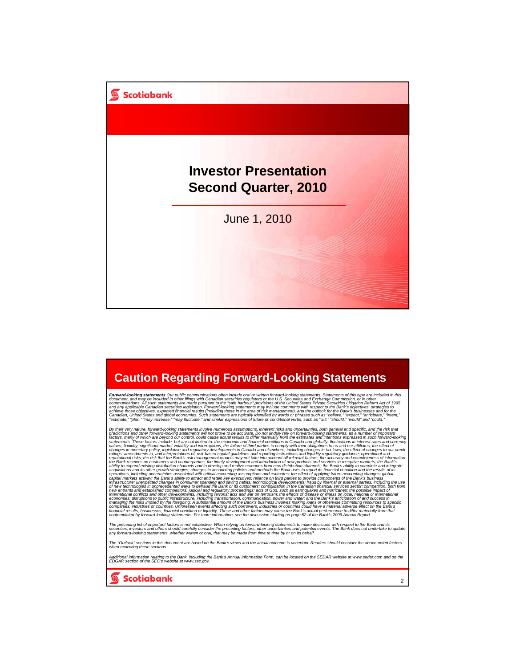

## **Caution Regarding Forward-Looking Statements**

**Forward-looking statements** Our public communications often include oral or written forward-looking statements. Statements of this type are included in this specially document and may be included in other filings with Can

By their very nature, forward-looking statements involve numerous assumptions, inherent risks and uncertainties, both general and specific, and the risk that the risk that the risk that the risk that the risk that is a muc capital markets activity; the Bank's ability to attract and retains the memory of the memory of the bank of the Bank's business incomparation in the Bank's business including the use<br>infrastructure; unexpected changes in c international conflicts and other developments, including terrorist acts and war on terrorism; the effects of disease or illness on local, national oristmational economies; disruptions to public infrastructure, including t

The preceding list of important factors is not exhaustive. When relying on forward-looking statements to make decisions with respect to the Bank and its<br>securities, investors and others should carefully consider the preced

*The "Outlook" sections in this document are based on the Bank's views and the actual outcome is uncertain. Readers should consider the above-noted factors when reviewing these sections.*

Additional information relating to the Bank, including the Bank's Annual Information Form, can be located on the SEDAR website at www.sedar.com and on the<br>EDGAR section of the SEC's website at www.sec.gov.

**Scotiabank**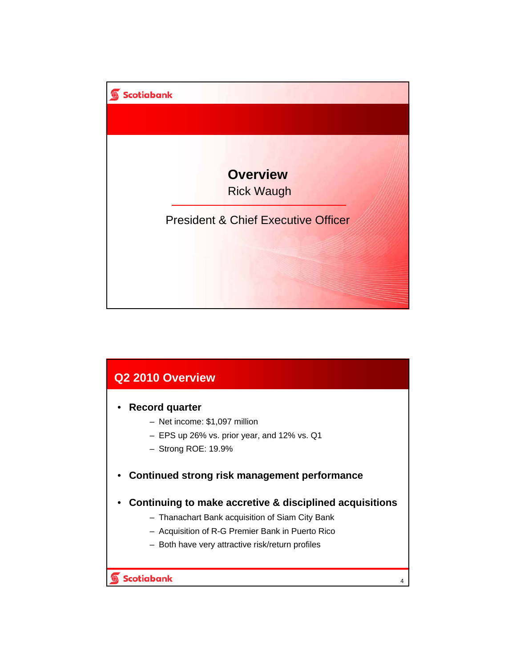

| Q2 2010 Overview                                                                                                                                        |
|---------------------------------------------------------------------------------------------------------------------------------------------------------|
| Record quarter<br>- Net income: \$1,097 million<br>$-$ EPS up 26% vs. prior year, and 12% vs. Q1<br>$-$ Strong ROE: 19.9%                               |
| • Continued strong risk management performance<br>Continuing to make accretive & disciplined acquisitions                                               |
| - Thanachart Bank acquisition of Siam City Bank<br>- Acquisition of R-G Premier Bank in Puerto Rico<br>- Both have very attractive risk/return profiles |
| Scotiabank<br>4                                                                                                                                         |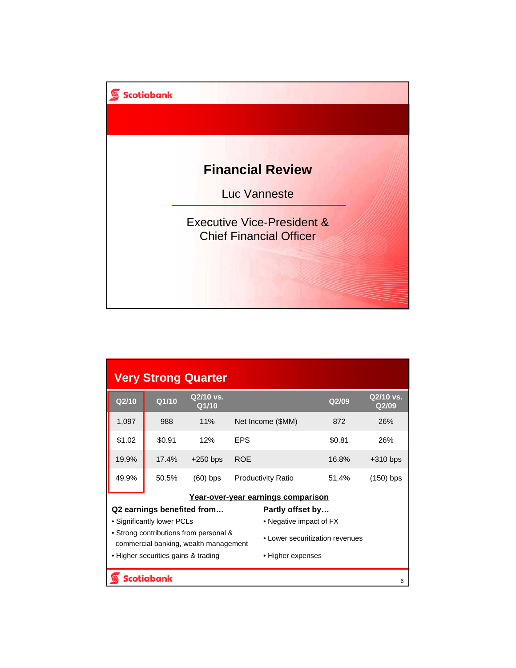

|                                                                                 | <b>Very Strong Quarter</b> |                    |                                            |                                 |                    |  |  |  |
|---------------------------------------------------------------------------------|----------------------------|--------------------|--------------------------------------------|---------------------------------|--------------------|--|--|--|
| Q <sub>2/10</sub>                                                               | Q1/10                      | Q2/10 vs.<br>Q1/10 |                                            | Q2/09                           | Q2/10 vs.<br>Q2/09 |  |  |  |
| 1,097                                                                           | 988                        | 11%                | Net Income (\$MM)                          | 872                             | 26%                |  |  |  |
| \$1.02                                                                          | \$0.91                     | 12%                | <b>EPS</b>                                 | \$0.81                          | 26%                |  |  |  |
| 19.9%                                                                           | 17.4%                      | $+250$ bps         | <b>ROE</b>                                 | 16.8%                           | $+310$ bps         |  |  |  |
| 49.9%                                                                           | 50.5%                      | $(60)$ bps         | <b>Productivity Ratio</b>                  | 51.4%                           | $(150)$ bps        |  |  |  |
|                                                                                 |                            |                    | <u> Year-over-year earnings comparison</u> |                                 |                    |  |  |  |
|                                                                                 | Q2 earnings benefited from |                    | Partly offset by                           |                                 |                    |  |  |  |
|                                                                                 | • Significantly lower PCLs |                    |                                            | • Negative impact of FX         |                    |  |  |  |
| • Strong contributions from personal &<br>commercial banking, wealth management |                            |                    |                                            | • Lower securitization revenues |                    |  |  |  |
| · Higher securities gains & trading<br>• Higher expenses                        |                            |                    |                                            |                                 |                    |  |  |  |
|                                                                                 | <b>Scotiabank</b><br>6     |                    |                                            |                                 |                    |  |  |  |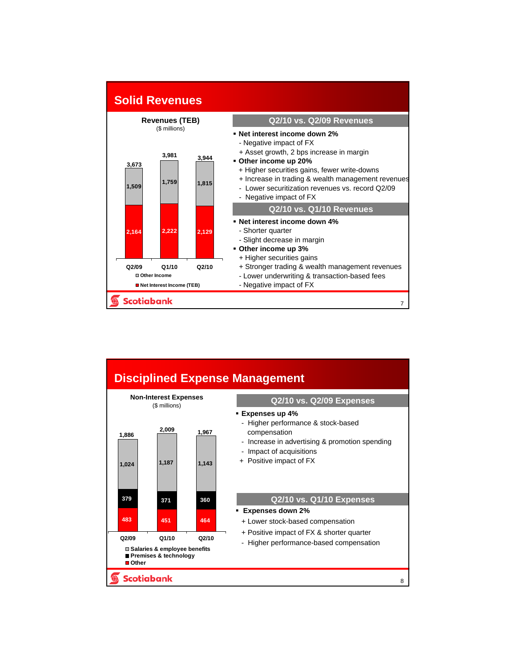

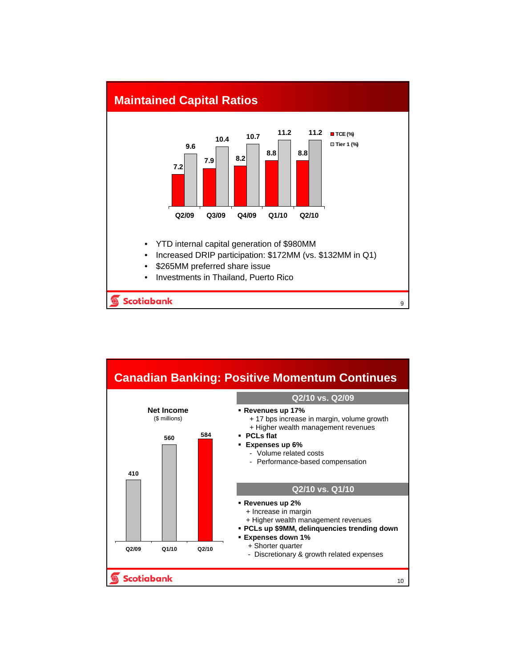

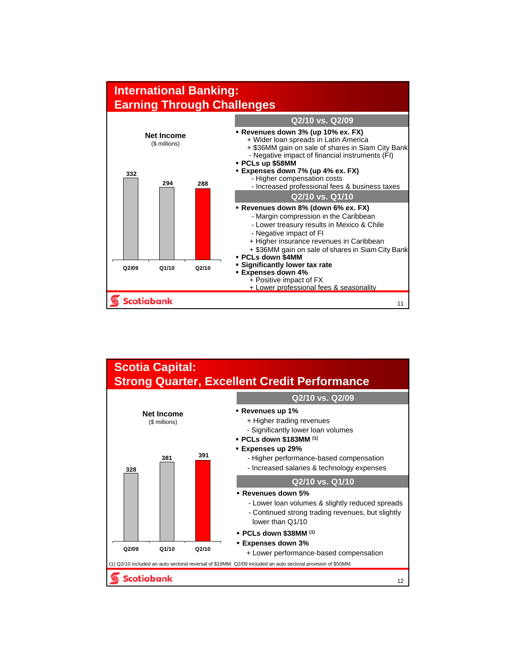

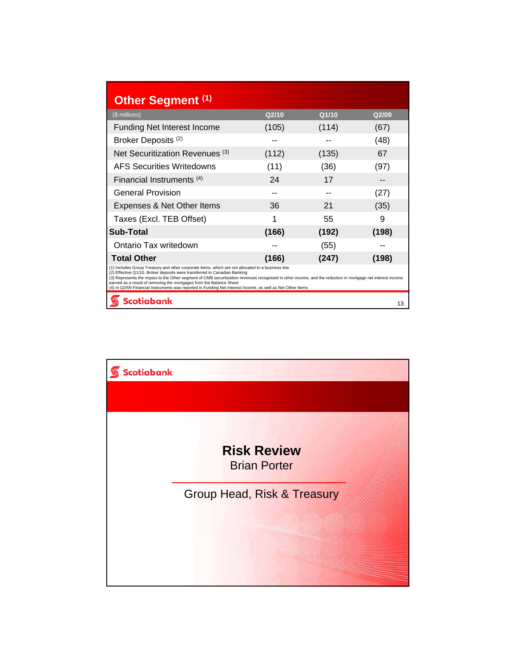| Other Segment (1)                                                                                                                                                                                                                                                                                                                                                                                                                                                                                                                  |       |       |       |  |  |
|------------------------------------------------------------------------------------------------------------------------------------------------------------------------------------------------------------------------------------------------------------------------------------------------------------------------------------------------------------------------------------------------------------------------------------------------------------------------------------------------------------------------------------|-------|-------|-------|--|--|
| (\$ millions)                                                                                                                                                                                                                                                                                                                                                                                                                                                                                                                      | Q2/10 | Q1/10 | Q2/09 |  |  |
| <b>Funding Net Interest Income</b>                                                                                                                                                                                                                                                                                                                                                                                                                                                                                                 | (105) | (114) | (67)  |  |  |
| Broker Deposits <sup>(2)</sup>                                                                                                                                                                                                                                                                                                                                                                                                                                                                                                     |       |       | (48)  |  |  |
| Net Securitization Revenues (3)                                                                                                                                                                                                                                                                                                                                                                                                                                                                                                    | (112) | (135) | 67    |  |  |
| <b>AFS Securities Writedowns</b>                                                                                                                                                                                                                                                                                                                                                                                                                                                                                                   | (11)  | (36)  | (97)  |  |  |
| Financial Instruments <sup>(4)</sup>                                                                                                                                                                                                                                                                                                                                                                                                                                                                                               | 24    | 17    |       |  |  |
| <b>General Provision</b>                                                                                                                                                                                                                                                                                                                                                                                                                                                                                                           |       |       | (27)  |  |  |
| Expenses & Net Other Items                                                                                                                                                                                                                                                                                                                                                                                                                                                                                                         | 36    | 21    | (35)  |  |  |
| Taxes (Excl. TEB Offset)                                                                                                                                                                                                                                                                                                                                                                                                                                                                                                           | 1     | 55    | 9     |  |  |
| Sub-Total                                                                                                                                                                                                                                                                                                                                                                                                                                                                                                                          | (166) | (192) | (198) |  |  |
| Ontario Tax writedown                                                                                                                                                                                                                                                                                                                                                                                                                                                                                                              |       | (55)  |       |  |  |
| <b>Total Other</b>                                                                                                                                                                                                                                                                                                                                                                                                                                                                                                                 | (166) | (247) | (198) |  |  |
| (1) Includes Group Treasury and other corporate items, which are not allocated to a business line<br>(2) Effective Q1/10, Broker deposits were transferred to Canadian Banking<br>(3) Represents the impact to the Other segment of CMB securitization revenues recognized in other income, and the reduction in mortgage net interest income<br>earned as a result of removing the mortgages from the Balance Sheet<br>(4) In Q2/09 Financial Instruments was reported in Funding Net Interest Income, as well as Net Other Items |       |       |       |  |  |
| <b>Scotiabank</b>                                                                                                                                                                                                                                                                                                                                                                                                                                                                                                                  |       |       | 13    |  |  |

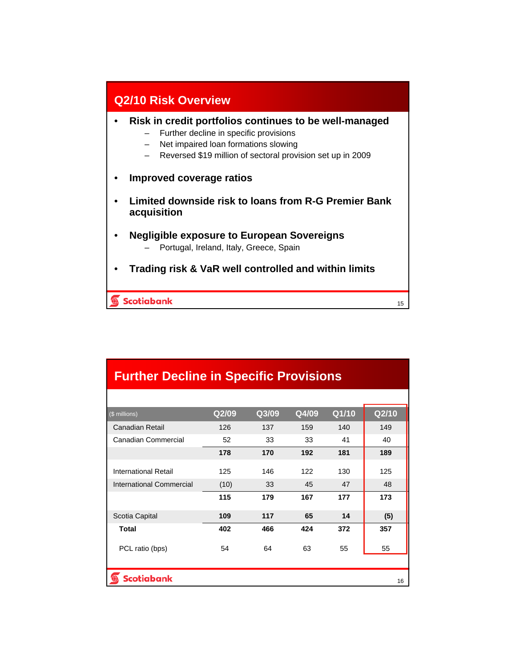

|  |  | <b>Further Decline in Specific Provisions</b> |
|--|--|-----------------------------------------------|
|  |  |                                               |

| (\$ millions)            | Q2/09 | Q3/09 | Q4/09 | Q1/10 | Q2/10 |
|--------------------------|-------|-------|-------|-------|-------|
| <b>Canadian Retail</b>   | 126   | 137   | 159   | 140   | 149   |
| Canadian Commercial      | 52    | 33    | 33    | 41    | 40    |
|                          | 178   | 170   | 192   | 181   | 189   |
| International Retail     | 125   | 146   | 122   | 130   | 125   |
| International Commercial | (10)  | 33    | 45    | 47    | 48    |
|                          | 115   | 179   | 167   | 177   | 173   |
| Scotia Capital           | 109   | 117   | 65    | 14    | (5)   |
| Total                    | 402   | 466   | 424   | 372   | 357   |
| PCL ratio (bps)          | 54    | 64    | 63    | 55    | 55    |
|                          |       |       |       |       |       |
| <b>Scotiabank</b>        |       |       |       |       | 16    |
|                          |       |       |       |       |       |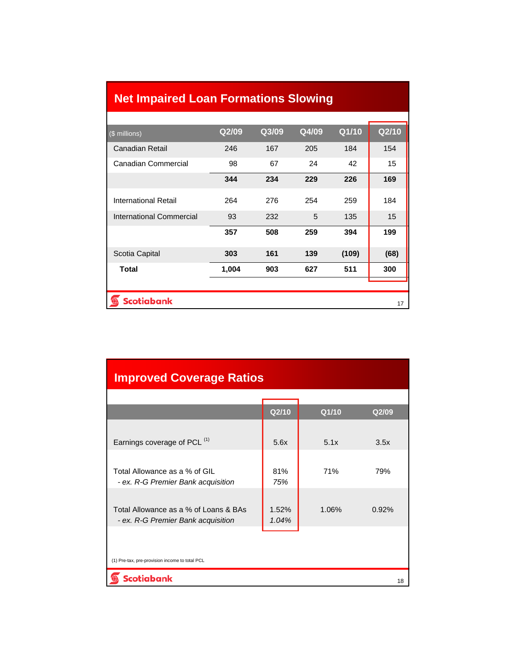| <b>Net Impaired Loan Formations Slowing</b> |  |
|---------------------------------------------|--|

| (\$ millions)                   | Q2/09 | Q3/09 | Q4/09 | Q1/10 | Q2/10 |
|---------------------------------|-------|-------|-------|-------|-------|
| Canadian Retail                 | 246   | 167   | 205   | 184   | 154   |
| Canadian Commercial             | 98    | 67    | 24    | 42    | 15    |
|                                 | 344   | 234   | 229   | 226   | 169   |
| International Retail            | 264   | 276   | 254   | 259   | 184   |
| <b>International Commercial</b> | 93    | 232   | 5     | 135   | 15    |
|                                 | 357   | 508   | 259   | 394   | 199   |
| Scotia Capital                  | 303   | 161   | 139   | (109) | (68)  |
| <b>Total</b>                    | 1,004 | 903   | 627   | 511   | 300   |
|                                 |       |       |       |       |       |
| <b>Scotiabank</b><br>17         |       |       |       |       |       |

| <b>Improved Coverage Ratios</b>                                             |                |       |       |  |  |  |
|-----------------------------------------------------------------------------|----------------|-------|-------|--|--|--|
|                                                                             |                |       |       |  |  |  |
|                                                                             | Q2/10          | Q1/10 | Q2/09 |  |  |  |
| Earnings coverage of PCL <sup>(1)</sup>                                     | 5.6x           | 5.1x  | 3.5x  |  |  |  |
| Total Allowance as a % of GIL<br>- ex. R-G Premier Bank acquisition         | 81%<br>75%     | 71%   | 79%   |  |  |  |
| Total Allowance as a % of Loans & BAs<br>- ex. R-G Premier Bank acquisition | 1.52%<br>1.04% | 1.06% | 0.92% |  |  |  |
| (1) Pre-tax, pre-provision income to total PCL                              |                |       |       |  |  |  |
| Scotiabank                                                                  |                |       | 18    |  |  |  |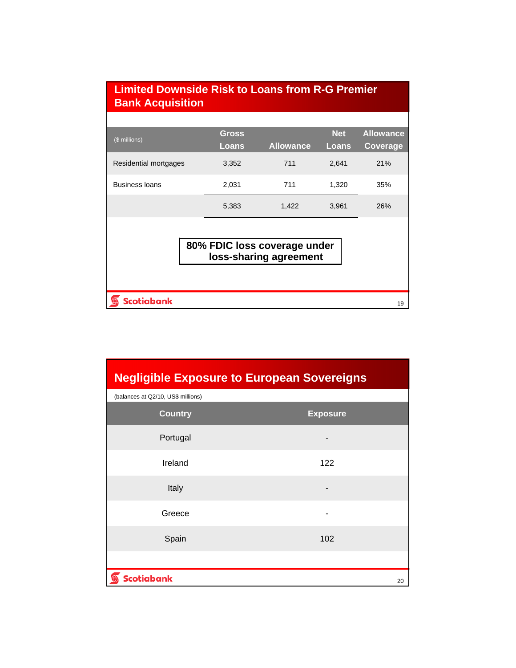## **Limited Downside Risk to Loans from R-G Premier Bank Acquisition**

٦

| (\$ millions)         | <b>Gross</b><br>Loans | <b>Allowance</b>                                       | <b>Net</b><br><b>Loans</b> | <b>Allowance</b><br>Coverage |
|-----------------------|-----------------------|--------------------------------------------------------|----------------------------|------------------------------|
| Residential mortgages | 3,352                 | 711                                                    | 2,641                      | 21%                          |
| <b>Business loans</b> | 2,031                 | 711                                                    | 1,320                      | 35%                          |
|                       | 5,383                 | 1,422                                                  | 3,961                      | 26%                          |
|                       |                       | 80% FDIC loss coverage under<br>loss-sharing agreement |                            |                              |
| Scotiabank            |                       |                                                        |                            | 19                           |

| <b>Negligible Exposure to European Sovereigns</b> |                 |  |  |  |  |  |  |
|---------------------------------------------------|-----------------|--|--|--|--|--|--|
| (balances at Q2/10, US\$ millions)                |                 |  |  |  |  |  |  |
| <b>Country</b>                                    | <b>Exposure</b> |  |  |  |  |  |  |
| Portugal                                          |                 |  |  |  |  |  |  |
| Ireland                                           | 122             |  |  |  |  |  |  |
| Italy                                             |                 |  |  |  |  |  |  |
| Greece                                            |                 |  |  |  |  |  |  |
| Spain                                             | 102             |  |  |  |  |  |  |
|                                                   |                 |  |  |  |  |  |  |
| <b>Scotiabank</b>                                 | 20              |  |  |  |  |  |  |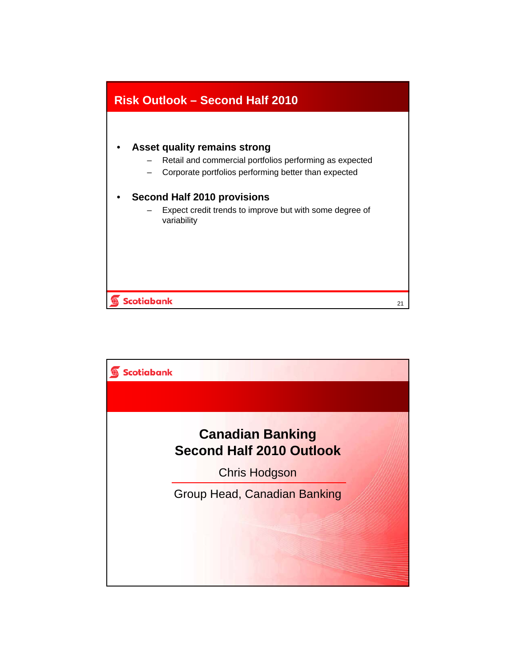

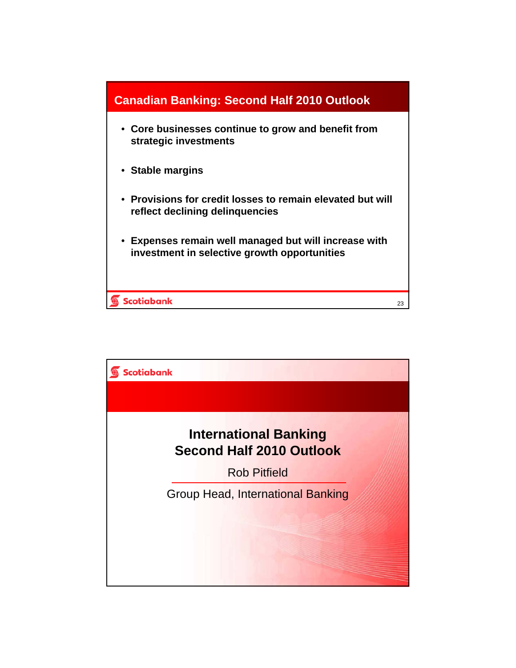

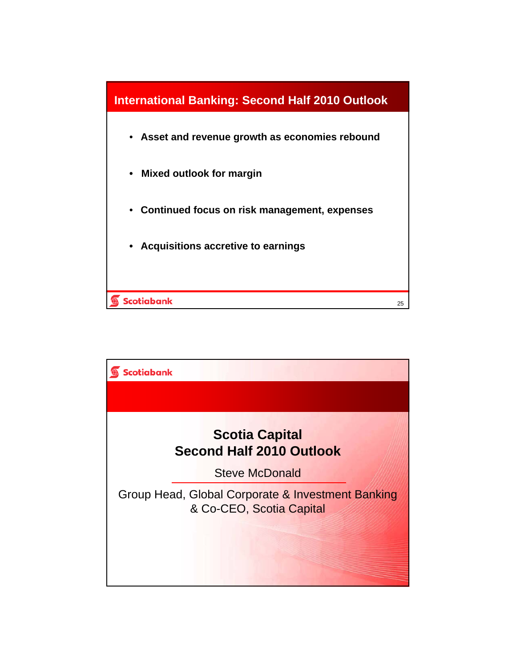

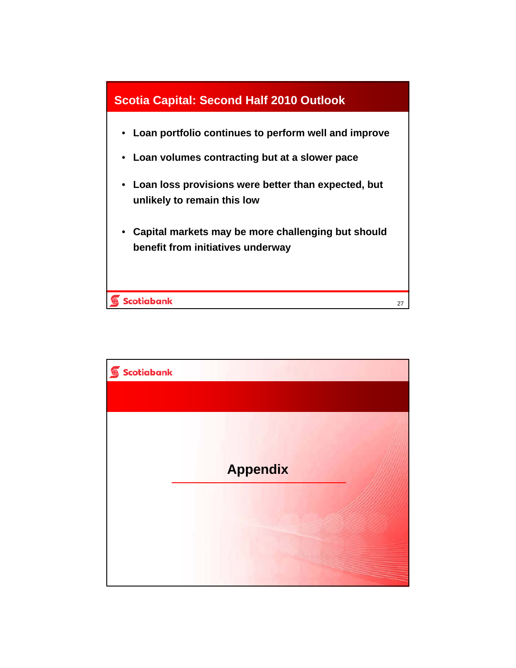

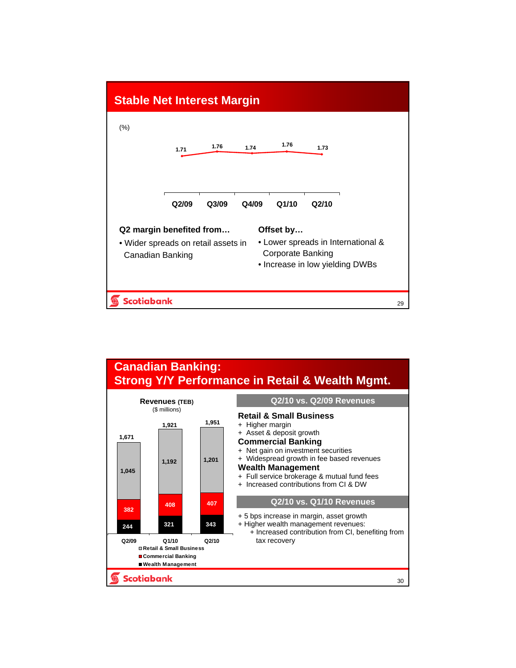

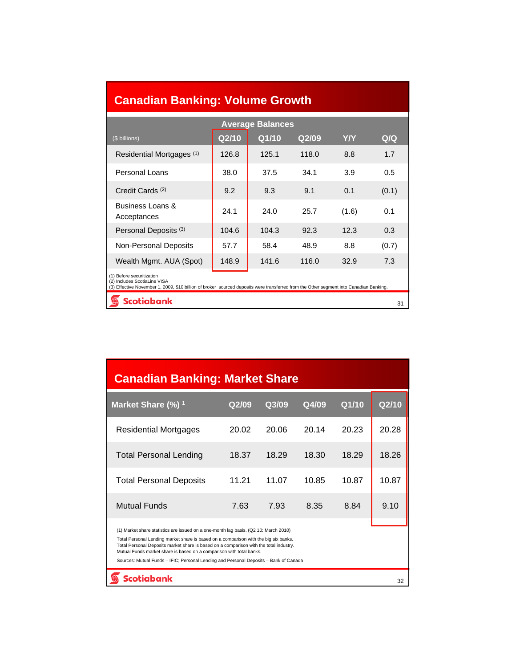|                                                                                                                                                                                                     | <b>Canadian Banking: Volume Growth</b> |                         |       |            |       |  |  |
|-----------------------------------------------------------------------------------------------------------------------------------------------------------------------------------------------------|----------------------------------------|-------------------------|-------|------------|-------|--|--|
|                                                                                                                                                                                                     |                                        | <b>Average Balances</b> |       |            |       |  |  |
| (\$ billions)                                                                                                                                                                                       | Q2/10                                  | Q1/10                   | Q2/09 | <b>Y/Y</b> | Q/Q   |  |  |
| Residential Mortgages (1)                                                                                                                                                                           | 126.8                                  | 125.1                   | 118.0 | 8.8        | 1.7   |  |  |
| Personal Loans                                                                                                                                                                                      | 38.0                                   | 37.5                    | 34.1  | 3.9        | 0.5   |  |  |
| Credit Cards <sup>(2)</sup>                                                                                                                                                                         | 9.2                                    | 9.3                     | 9.1   | 0.1        | (0.1) |  |  |
| Business Loans &<br>Acceptances                                                                                                                                                                     | 24.1                                   | 24.0                    | 25.7  | (1.6)      | 0.1   |  |  |
| Personal Deposits <sup>(3)</sup>                                                                                                                                                                    | 104.6                                  | 104.3                   | 92.3  | 12.3       | 0.3   |  |  |
| Non-Personal Deposits                                                                                                                                                                               | 57.7                                   | 58.4                    | 48.9  | 8.8        | (0.7) |  |  |
| Wealth Mgmt. AUA (Spot)                                                                                                                                                                             | 148.9                                  | 141.6                   | 116.0 | 32.9       | 7.3   |  |  |
| (1) Before securitization<br>(2) Includes ScotiaLine VISA<br>(3) Effective November 1, 2009, \$10 billion of broker sourced deposits were transferred from the Other segment into Canadian Banking. |                                        |                         |       |            |       |  |  |
| Scotiabank<br>31                                                                                                                                                                                    |                                        |                         |       |            |       |  |  |

| <b>Canadian Banking: Market Share</b>                                                                                                                                                                                                                                                                                                                                                                                                   |       |       |       |       |                             |  |  |
|-----------------------------------------------------------------------------------------------------------------------------------------------------------------------------------------------------------------------------------------------------------------------------------------------------------------------------------------------------------------------------------------------------------------------------------------|-------|-------|-------|-------|-----------------------------|--|--|
| Market Share (%) <sup>1</sup>                                                                                                                                                                                                                                                                                                                                                                                                           | Q2/09 | Q3/09 | Q4/09 | Q1/10 | $\overline{\mathsf{Q2/10}}$ |  |  |
| Residential Mortgages                                                                                                                                                                                                                                                                                                                                                                                                                   | 20.02 | 20.06 | 20.14 | 20.23 | 20.28                       |  |  |
| <b>Total Personal Lending</b>                                                                                                                                                                                                                                                                                                                                                                                                           | 18.37 | 18.29 | 18.30 | 18.29 | 18.26                       |  |  |
| <b>Total Personal Deposits</b>                                                                                                                                                                                                                                                                                                                                                                                                          | 11.21 | 11.07 | 10.85 | 10.87 | 10.87                       |  |  |
| <b>Mutual Funds</b>                                                                                                                                                                                                                                                                                                                                                                                                                     | 7.63  | 7.93  | 8.35  | 8.84  | 9.10                        |  |  |
| (1) Market share statistics are issued on a one-month lag basis. (Q2 10: March 2010)<br>Total Personal Lending market share is based on a comparison with the big six banks.<br>Total Personal Deposits market share is based on a comparison with the total industry.<br>Mutual Funds market share is based on a comparison with total banks.<br>Sources: Mutual Funds - IFIC; Personal Lending and Personal Deposits - Bank of Canada |       |       |       |       |                             |  |  |
| <b>Scotiabank</b>                                                                                                                                                                                                                                                                                                                                                                                                                       |       |       |       |       | 32                          |  |  |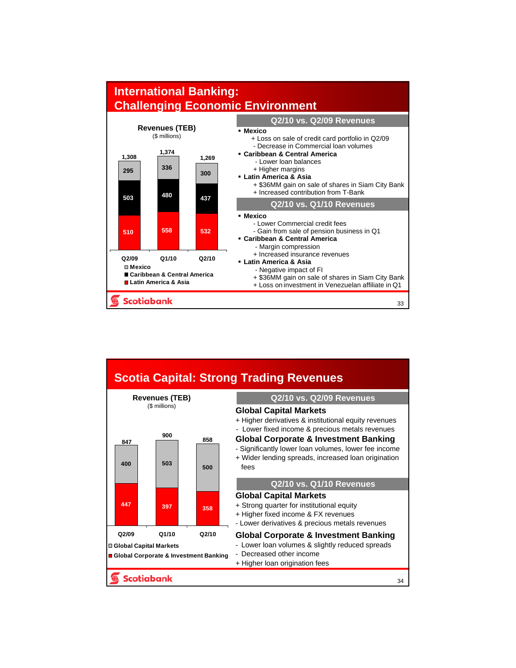

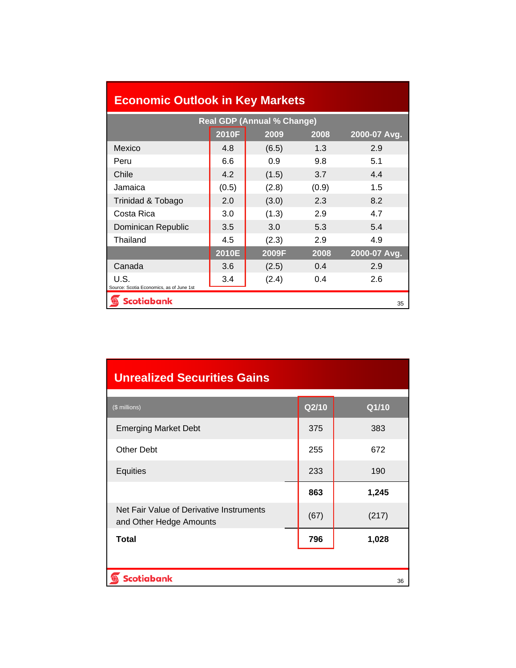| <b>Economic Outlook in Key Markets</b>   |       |       |       |              |  |  |  |  |  |
|------------------------------------------|-------|-------|-------|--------------|--|--|--|--|--|
| <b>Real GDP (Annual % Change)</b>        |       |       |       |              |  |  |  |  |  |
|                                          | 2010F | 2009  | 2008  | 2000-07 Avg. |  |  |  |  |  |
| Mexico                                   | 4.8   | (6.5) | 1.3   | 2.9          |  |  |  |  |  |
| Peru                                     | 6.6   | 0.9   | 9.8   | 5.1          |  |  |  |  |  |
| Chile                                    | 4.2   | (1.5) | 3.7   | 4.4          |  |  |  |  |  |
| Jamaica                                  | (0.5) | (2.8) | (0.9) | 1.5          |  |  |  |  |  |
| Trinidad & Tobago                        | 2.0   | (3.0) | 2.3   | 8.2          |  |  |  |  |  |
| Costa Rica                               | 3.0   | (1.3) | 2.9   | 4.7          |  |  |  |  |  |
| Dominican Republic                       | 3.5   | 3.0   | 5.3   | 5.4          |  |  |  |  |  |
| Thailand                                 | 4.5   | (2.3) | 2.9   | 4.9          |  |  |  |  |  |
|                                          | 2010E | 2009F | 2008  | 2000-07 Avg. |  |  |  |  |  |
| Canada                                   | 3.6   | (2.5) | 0.4   | 2.9          |  |  |  |  |  |
| U.S.                                     | 3.4   | (2.4) | 0.4   | 2.6          |  |  |  |  |  |
| Source: Scotia Economics, as of June 1st |       |       |       |              |  |  |  |  |  |
| <b>Scotiabank</b>                        |       |       |       | 35           |  |  |  |  |  |

| <b>Unrealized Securities Gains</b>                                  |       |       |  |  |  |  |  |
|---------------------------------------------------------------------|-------|-------|--|--|--|--|--|
| (\$ millions)                                                       | Q2/10 | Q1/10 |  |  |  |  |  |
| <b>Emerging Market Debt</b>                                         | 375   | 383   |  |  |  |  |  |
| <b>Other Debt</b>                                                   | 255   | 672   |  |  |  |  |  |
| Equities                                                            | 233   | 190   |  |  |  |  |  |
|                                                                     | 863   | 1,245 |  |  |  |  |  |
| Net Fair Value of Derivative Instruments<br>and Other Hedge Amounts | (67)  | (217) |  |  |  |  |  |
| <b>Total</b>                                                        | 796   | 1,028 |  |  |  |  |  |
|                                                                     |       |       |  |  |  |  |  |
| <b>Scotiabank</b>                                                   |       | 36    |  |  |  |  |  |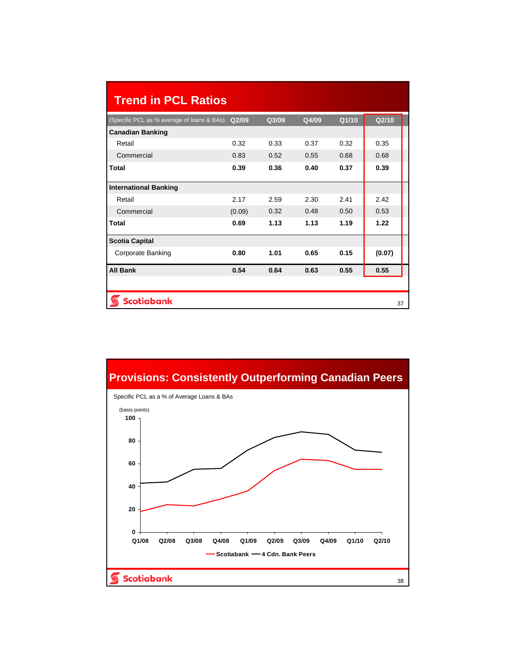| <b>Trend in PCL Ratios</b>                 |        |       |       |       |        |
|--------------------------------------------|--------|-------|-------|-------|--------|
| (Specific PCL as % average of loans & BAs) | Q2/09  | Q3/09 | Q4/09 | Q1/10 | Q2/10  |
| <b>Canadian Banking</b>                    |        |       |       |       |        |
| Retail                                     | 0.32   | 0.33  | 0.37  | 0.32  | 0.35   |
| Commercial                                 | 0.83   | 0.52  | 0.55  | 0.68  | 0.68   |
| <b>Total</b>                               | 0.39   | 0.36  | 0.40  | 0.37  | 0.39   |
| <b>International Banking</b>               |        |       |       |       |        |
| Retail                                     | 2.17   | 2.59  | 2.30  | 2.41  | 2.42   |
| Commercial                                 | (0.09) | 0.32  | 0.48  | 0.50  | 0.53   |
| Total                                      | 0.69   | 1.13  | 1.13  | 1.19  | 1.22   |
| <b>Scotia Capital</b>                      |        |       |       |       |        |
| Corporate Banking                          | 0.80   | 1.01  | 0.65  | 0.15  | (0.07) |
| <b>All Bank</b>                            | 0.54   | 0.64  | 0.63  | 0.55  | 0.55   |
|                                            |        |       |       |       |        |
| <b>Scotiabank</b>                          |        |       |       |       | 37     |

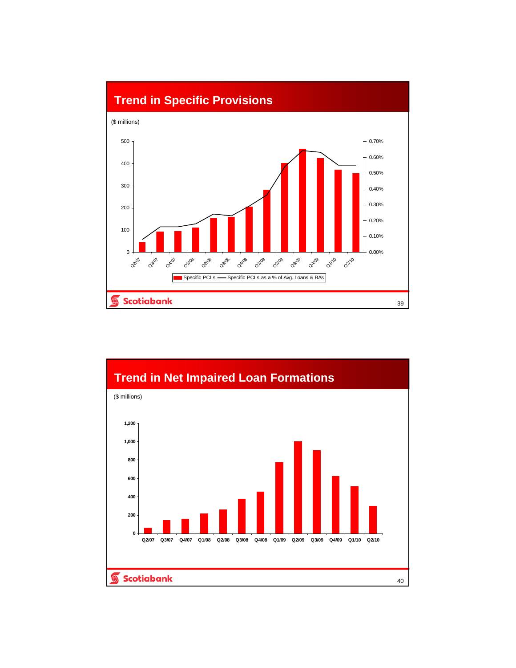

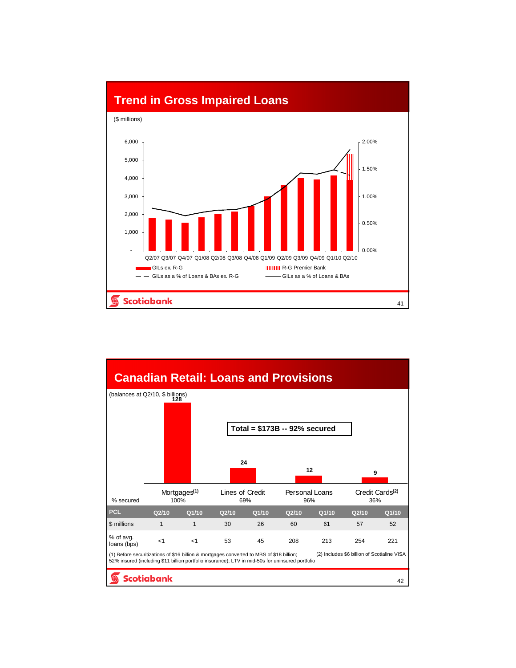

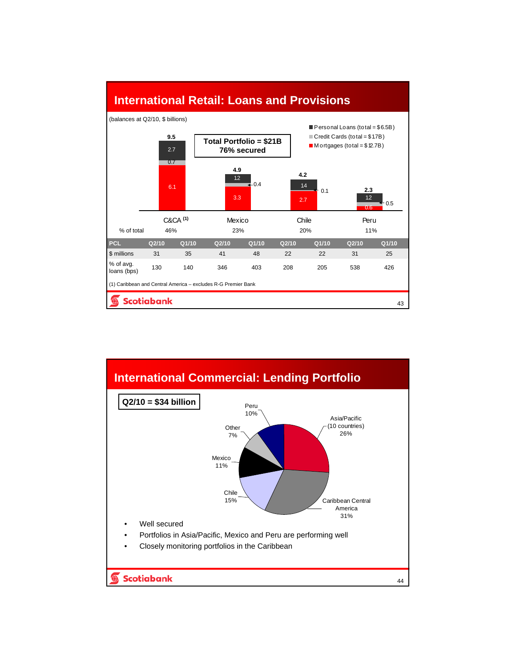

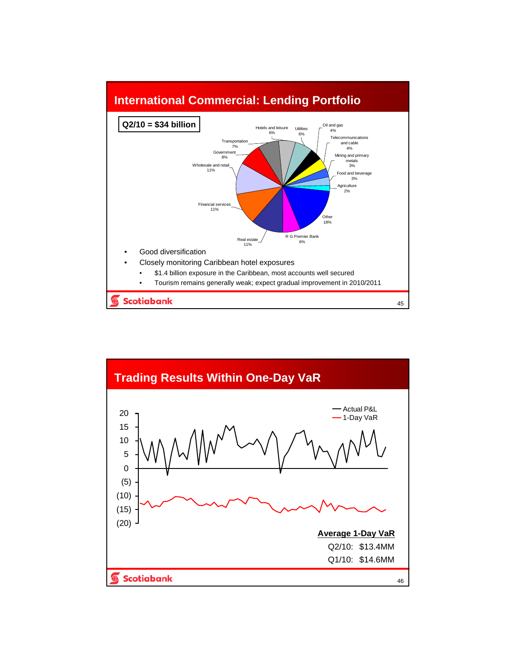